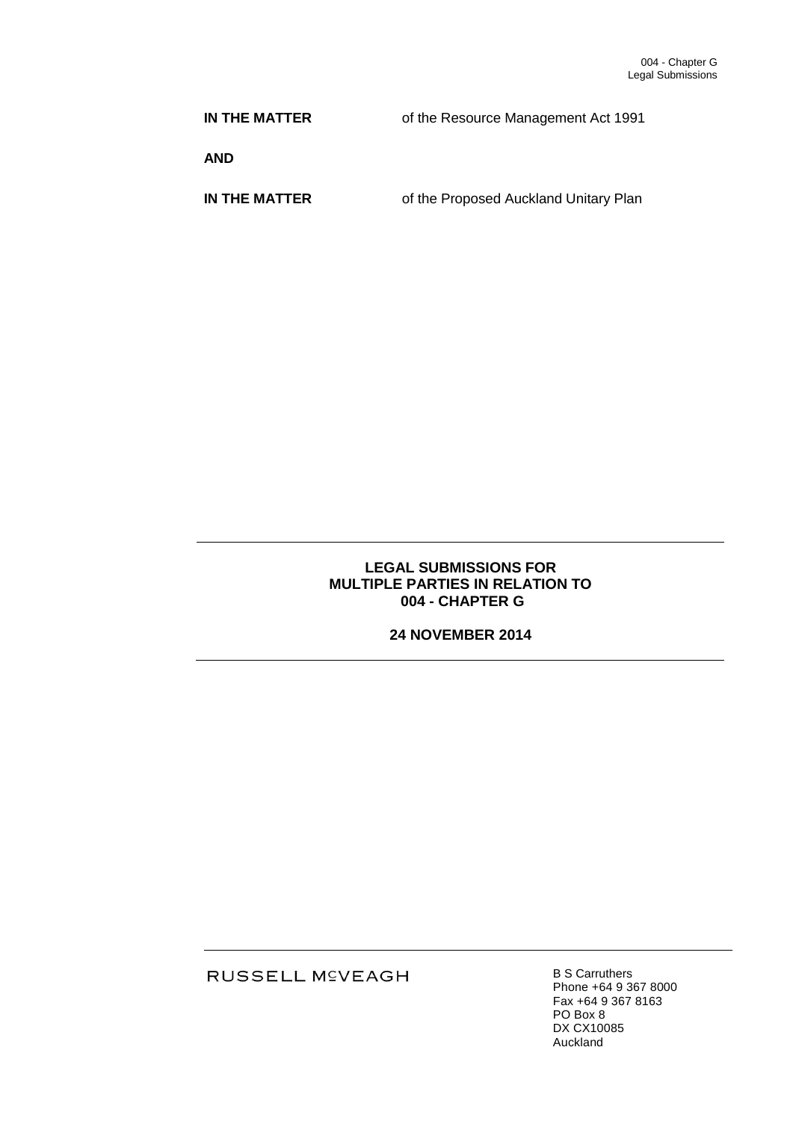**IN THE MATTER** of the Resource Management Act 1991

**AND**

**IN THE MATTER** of the Proposed Auckland Unitary Plan

# **LEGAL SUBMISSIONS FOR MULTIPLE PARTIES IN RELATION TO 004 - CHAPTER G**

# **24 NOVEMBER 2014**

RUSSELL M<sup>C</sup>VEAGH

B S Carruthers Phone +64 9 367 8000 Fax +64 9 367 8163 PO Box 8 DX CX10085 Auckland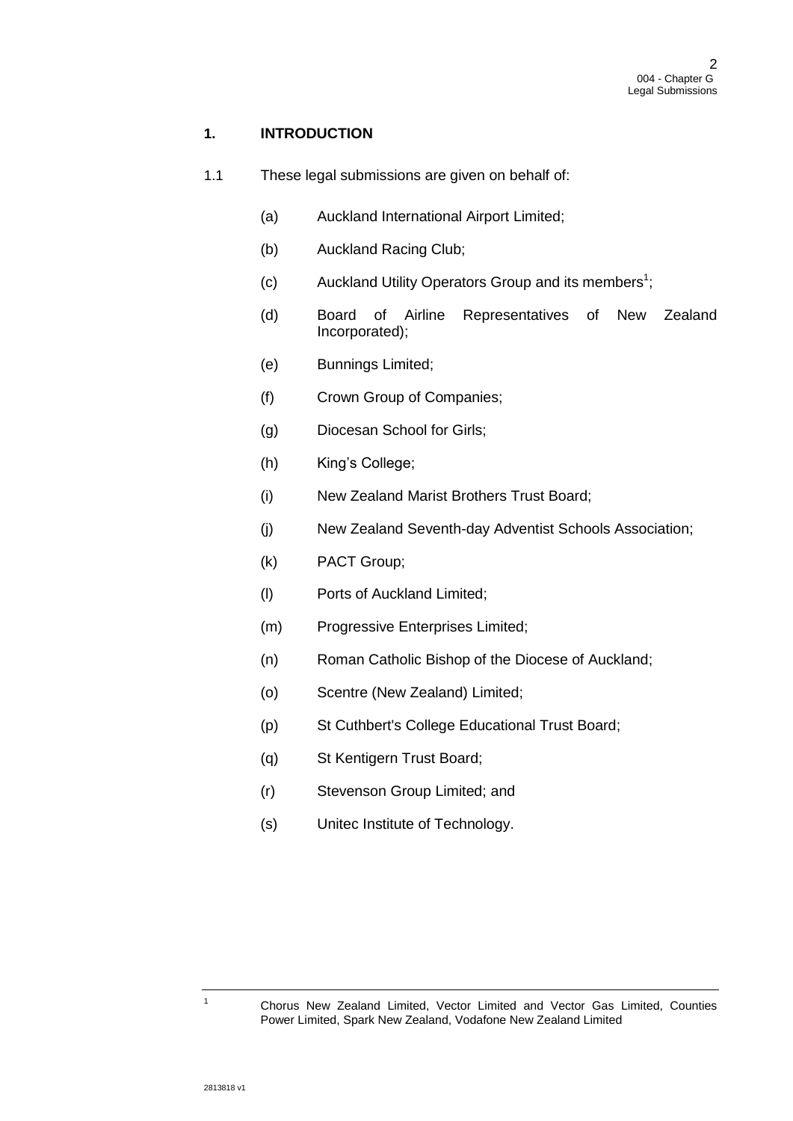# **1. INTRODUCTION**

- 1.1 These legal submissions are given on behalf of:
	- (a) Auckland International Airport Limited;
	- (b) Auckland Racing Club;
	- (c) Auckland Utility Operators Group and its members<sup>1</sup>;
	- (d) Board of Airline Representatives of New Zealand Incorporated);
	- (e) Bunnings Limited;
	- (f) Crown Group of Companies;
	- (g) Diocesan School for Girls;
	- (h) King's College;
	- (i) New Zealand Marist Brothers Trust Board;
	- (j) New Zealand Seventh-day Adventist Schools Association;
	- (k) PACT Group;
	- (l) Ports of Auckland Limited;
	- (m) Progressive Enterprises Limited;
	- (n) Roman Catholic Bishop of the Diocese of Auckland;
	- (o) Scentre (New Zealand) Limited;
	- (p) St Cuthbert's College Educational Trust Board;
	- (q) St Kentigern Trust Board;
	- (r) Stevenson Group Limited; and
	- (s) Unitec Institute of Technology.

<sup>1</sup> Chorus New Zealand Limited, Vector Limited and Vector Gas Limited, Counties Power Limited, Spark New Zealand, Vodafone New Zealand Limited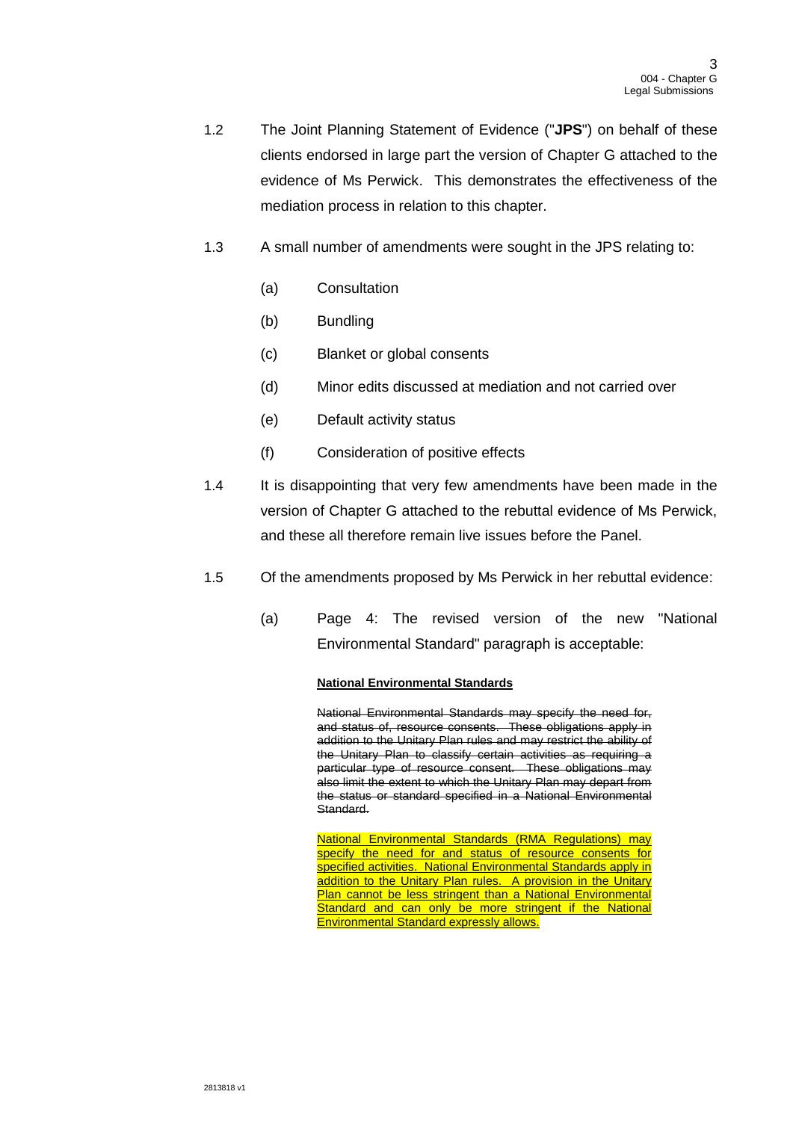- 1.2 The Joint Planning Statement of Evidence ("**JPS**") on behalf of these clients endorsed in large part the version of Chapter G attached to the evidence of Ms Perwick. This demonstrates the effectiveness of the mediation process in relation to this chapter.
- 1.3 A small number of amendments were sought in the JPS relating to:
	- (a) Consultation
	- (b) Bundling
	- (c) Blanket or global consents
	- (d) Minor edits discussed at mediation and not carried over
	- (e) Default activity status
	- (f) Consideration of positive effects
- 1.4 It is disappointing that very few amendments have been made in the version of Chapter G attached to the rebuttal evidence of Ms Perwick, and these all therefore remain live issues before the Panel.
- 1.5 Of the amendments proposed by Ms Perwick in her rebuttal evidence:
	- (a) Page 4: The revised version of the new "National Environmental Standard" paragraph is acceptable:

## **National Environmental Standards**

National Environmental Standards may specify the need for, and status of, resource consents. These obligations apply in addition to the Unitary Plan rules and may restrict the ability of the Unitary Plan to classify certain activities as requiring a particular type of resource consent. These obligations may also limit the extent to which the Unitary Plan may depart from the status or standard specified in a National Environmental Standard.

National Environmental Standards (RMA Regulations) may specify the need for and status of resource consents for specified activities. National Environmental Standards apply in addition to the Unitary Plan rules. A provision in the Unitary Plan cannot be less stringent than a National Environmental Standard and can only be more stringent if the National Environmental Standard expressly allows.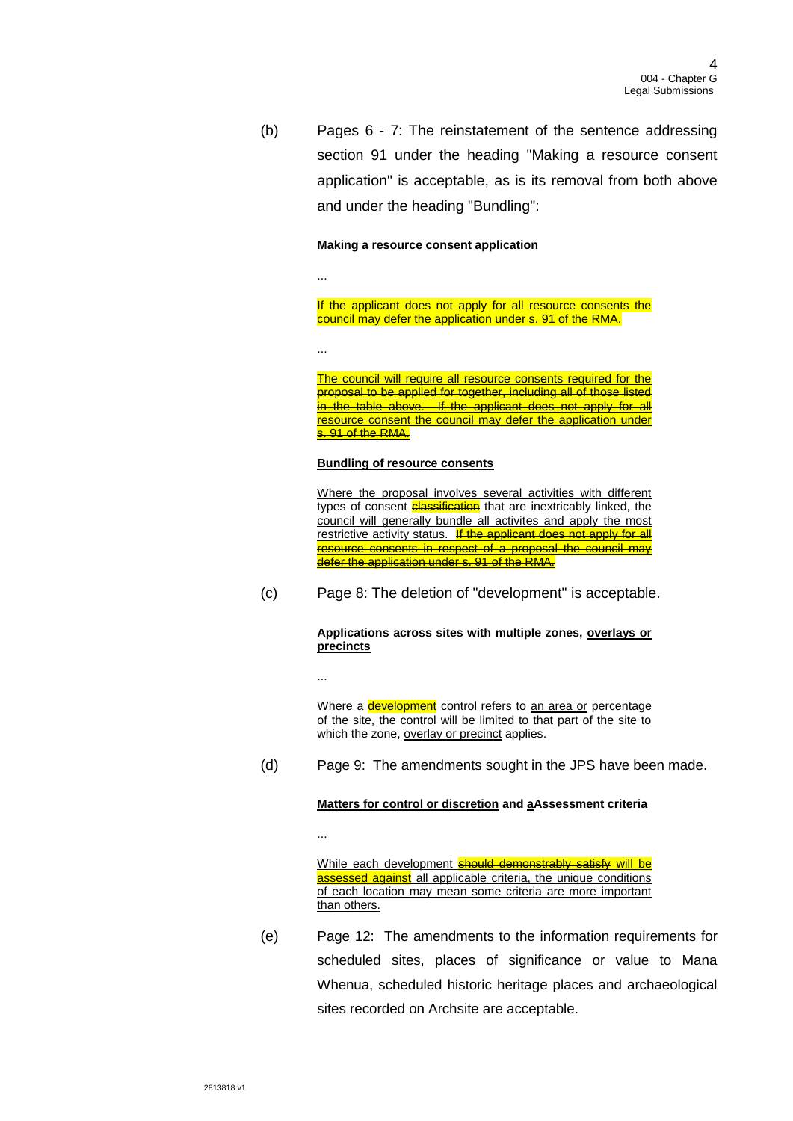(b) Pages 6 - 7: The reinstatement of the sentence addressing section 91 under the heading "Making a resource consent application" is acceptable, as is its removal from both above and under the heading "Bundling":

#### **Making a resource consent application**

...

...

...

...

If the applicant does not apply for all resource consents the council may defer the application under s. 91 of the RMA.

The council will require all resource consents required for the proposal to be applied for together, including all of those listed in the table above. If the applicant does not apply for all resource consent the council may defer the application under s. 91 of the RMA.

#### **Bundling of resource consents**

Where the proposal involves several activities with different types of consent **classification** that are inextricably linked, the council will generally bundle all activites and apply the most restrictive activity status. If the applicant does not apply for all resource consents in respect of a proposal the council may defer the application under s. 91 of the RMA.

(c) Page 8: The deletion of "development" is acceptable.

**Applications across sites with multiple zones, overlays or precincts** 

Where a **development** control refers to an area or percentage of the site, the control will be limited to that part of the site to which the zone, overlay or precinct applies.

(d) Page 9: The amendments sought in the JPS have been made.

#### **Matters for control or discretion and aAssessment criteria**

While each development should demonstrably satisfy will be assessed against all applicable criteria, the unique conditions of each location may mean some criteria are more important than others.

(e) Page 12: The amendments to the information requirements for scheduled sites, places of significance or value to Mana Whenua, scheduled historic heritage places and archaeological sites recorded on Archsite are acceptable.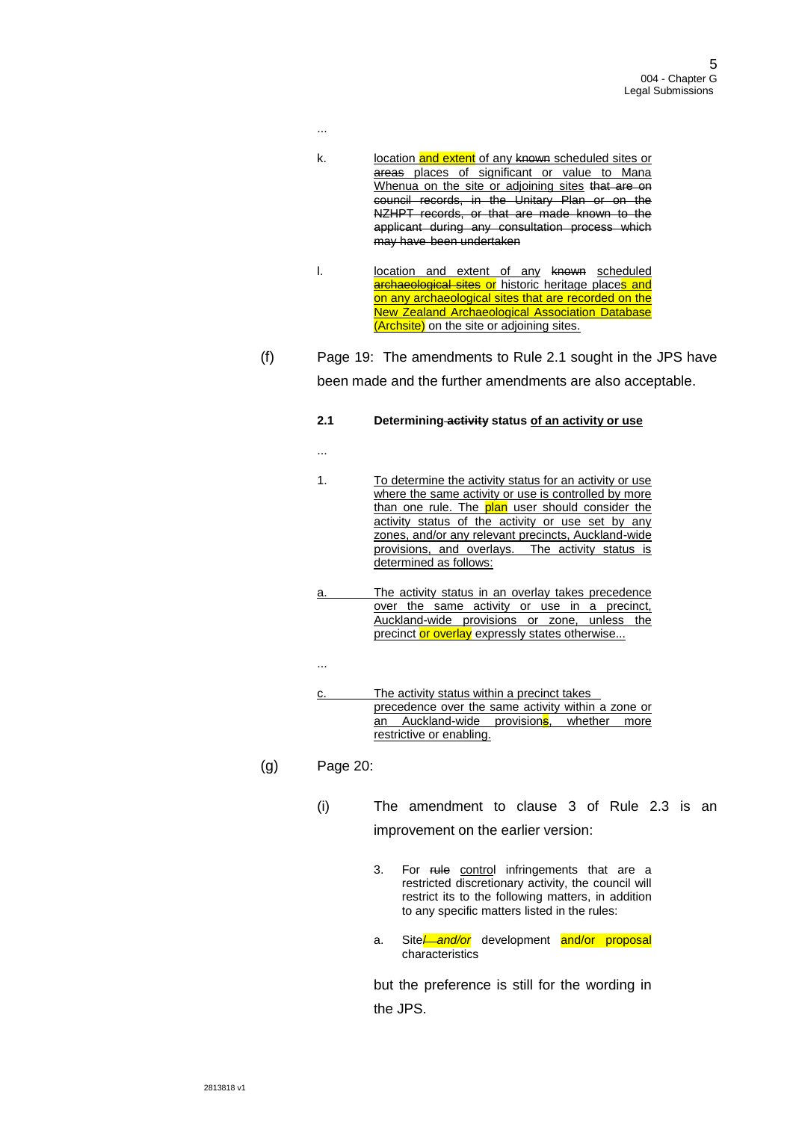- k. location and extent of any known scheduled sites or areas places of significant or value to Mana Whenua on the site or adjoining sites that are on council records, in the Unitary Plan or on the NZHPT records, or that are made known to the applicant during any consultation process which may have been undertaken
- I. location and extent of any known scheduled archaeological sites or historic heritage places and on any archaeological sites that are recorded on the New Zealand Archaeological Association Database (Archsite) on the site or adjoining sites.
- (f) Page 19: The amendments to Rule 2.1 sought in the JPS have been made and the further amendments are also acceptable.
	- **2.1 Determining activity status of an activity or use**
	- ...

...

- 1. To determine the activity status for an activity or use where the same activity or use is controlled by more than one rule. The plan user should consider the activity status of the activity or use set by any zones, and/or any relevant precincts, Auckland-wide provisions, and overlays. The activity status is determined as follows:
- a. The activity status in an overlay takes precedence over the same activity or use in a precinct, Auckland-wide provisions or zone, unless the precinct or overlay expressly states otherwise...
- c. The activity status within a precinct takes precedence over the same activity within a zone or an Auckland-wide provisions, whether more restrictive or enabling.
- (g) Page 20:

...

- (i) The amendment to clause 3 of Rule 2.3 is an improvement on the earlier version:
	- 3. For rule control infringements that are a restricted discretionary activity, the council will restrict its to the following matters, in addition to any specific matters listed in the rules:
	- a. Site<sup>L</sup> and/or development and/or proposal characteristics

but the preference is still for the wording in the JPS.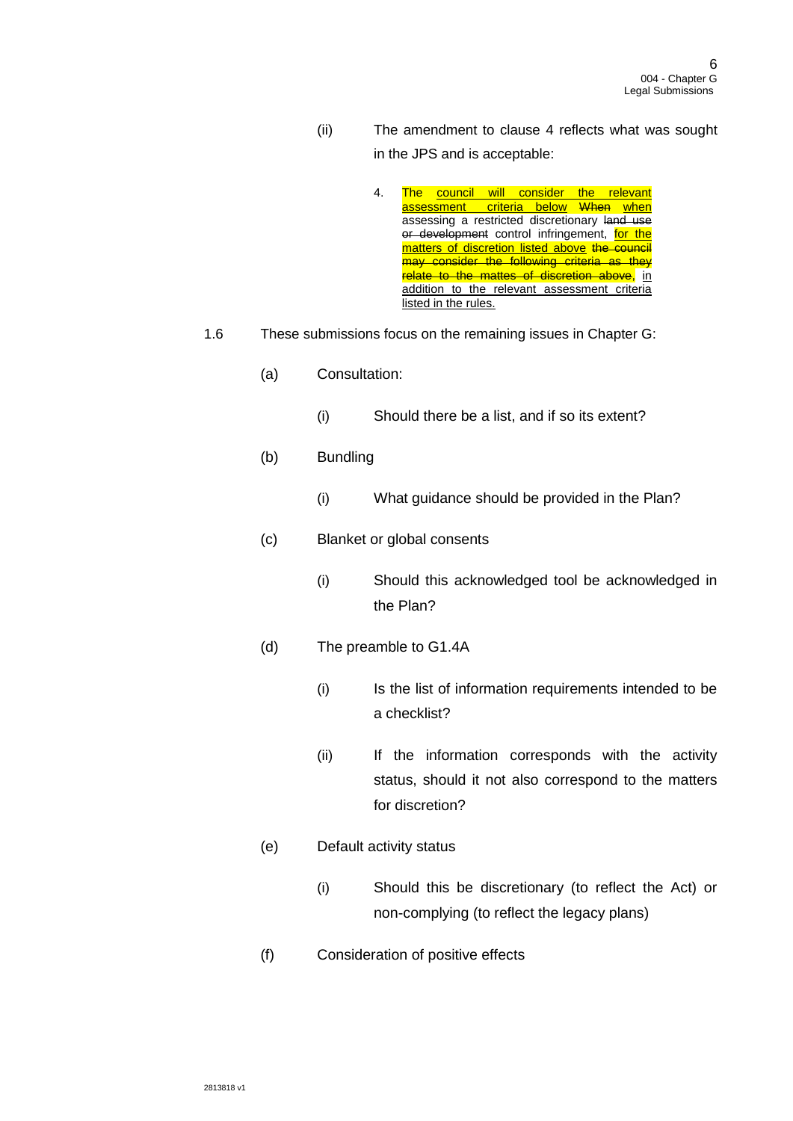- (ii) The amendment to clause 4 reflects what was sought in the JPS and is acceptable:
	- 4. The council will consider the relevant assessment criteria below When when assessing a restricted discretionary land use or development control infringement, for the matters of discretion listed above the council may consider the following criteria as they relate to the mattes of discretion above, in addition to the relevant assessment criteria listed in the rules.
- 1.6 These submissions focus on the remaining issues in Chapter G:
	- (a) Consultation:
		- (i) Should there be a list, and if so its extent?
	- (b) Bundling
		- (i) What guidance should be provided in the Plan?
	- (c) Blanket or global consents
		- (i) Should this acknowledged tool be acknowledged in the Plan?
	- (d) The preamble to G1.4A
		- (i) Is the list of information requirements intended to be a checklist?
		- (ii) If the information corresponds with the activity status, should it not also correspond to the matters for discretion?
	- (e) Default activity status
		- (i) Should this be discretionary (to reflect the Act) or non-complying (to reflect the legacy plans)
	- (f) Consideration of positive effects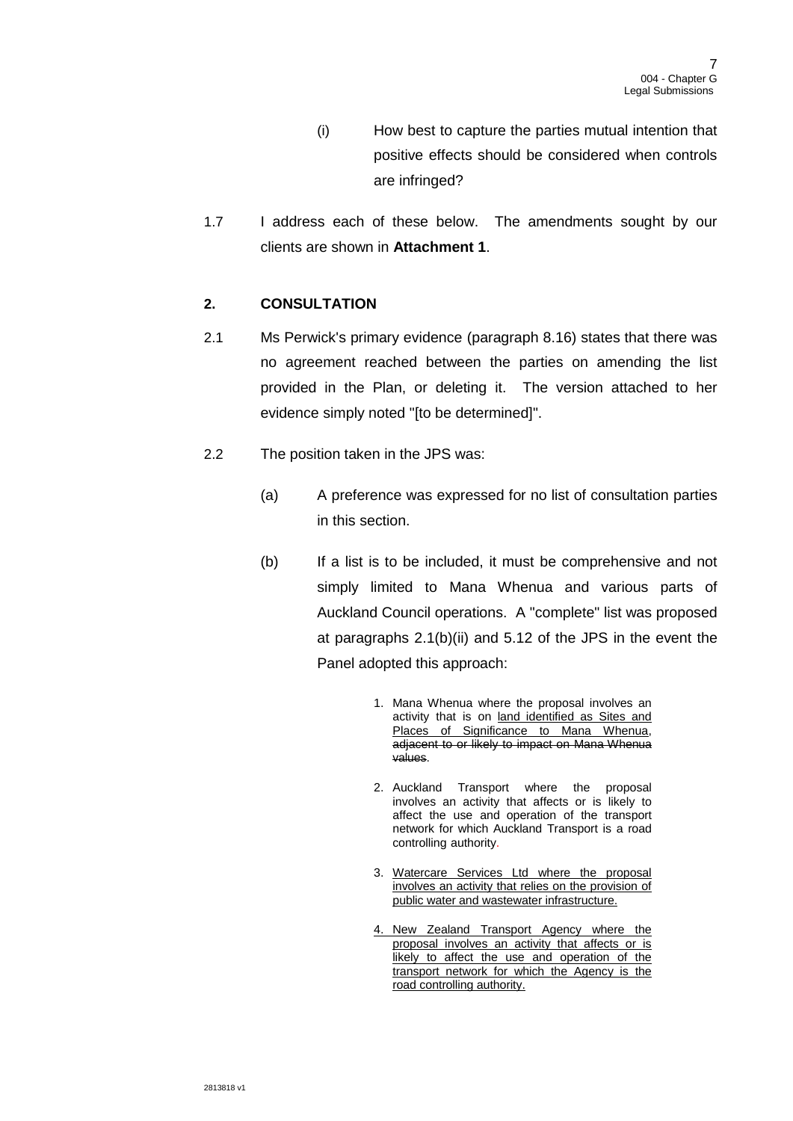- (i) How best to capture the parties mutual intention that positive effects should be considered when controls are infringed?
- 1.7 I address each of these below. The amendments sought by our clients are shown in **Attachment 1**.

# **2. CONSULTATION**

- 2.1 Ms Perwick's primary evidence (paragraph 8.16) states that there was no agreement reached between the parties on amending the list provided in the Plan, or deleting it. The version attached to her evidence simply noted "[to be determined]".
- 2.2 The position taken in the JPS was:
	- (a) A preference was expressed for no list of consultation parties in this section.
	- (b) If a list is to be included, it must be comprehensive and not simply limited to Mana Whenua and various parts of Auckland Council operations. A "complete" list was proposed at paragraphs 2.1(b)(ii) and 5.12 of the JPS in the event the Panel adopted this approach:
		- 1. Mana Whenua where the proposal involves an activity that is on land identified as Sites and Places of Significance to Mana Whenua, adjacent to or likely to impact on Mana Whenua values.
		- 2. Auckland Transport where the proposal involves an activity that affects or is likely to affect the use and operation of the transport network for which Auckland Transport is a road controlling authority.
		- 3. Watercare Services Ltd where the proposal involves an activity that relies on the provision of public water and wastewater infrastructure.
		- 4. New Zealand Transport Agency where the proposal involves an activity that affects or is likely to affect the use and operation of the transport network for which the Agency is the road controlling authority.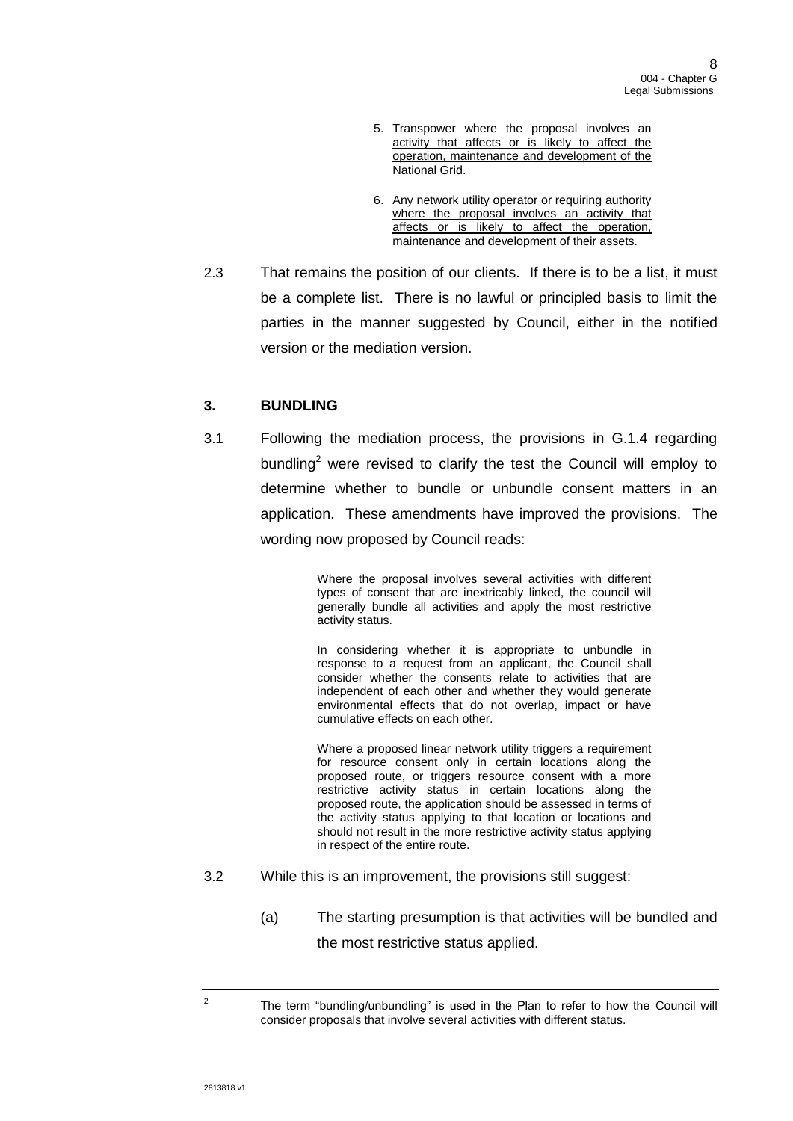- 5. Transpower where the proposal involves an activity that affects or is likely to affect the operation, maintenance and development of the National Grid.
- 6. Any network utility operator or requiring authority where the proposal involves an activity that affects or is likely to affect the operation, maintenance and development of their assets.
- 2.3 That remains the position of our clients. If there is to be a list, it must be a complete list. There is no lawful or principled basis to limit the parties in the manner suggested by Council, either in the notified version or the mediation version.

# **3. BUNDLING**

3.1 Following the mediation process, the provisions in G.1.4 regarding bundling<sup>2</sup> were revised to clarify the test the Council will employ to determine whether to bundle or unbundle consent matters in an application. These amendments have improved the provisions. The wording now proposed by Council reads:

> Where the proposal involves several activities with different types of consent that are inextricably linked, the council will generally bundle all activities and apply the most restrictive activity status.

> In considering whether it is appropriate to unbundle in response to a request from an applicant, the Council shall consider whether the consents relate to activities that are independent of each other and whether they would generate environmental effects that do not overlap, impact or have cumulative effects on each other.

> Where a proposed linear network utility triggers a requirement for resource consent only in certain locations along the proposed route, or triggers resource consent with a more restrictive activity status in certain locations along the proposed route, the application should be assessed in terms of the activity status applying to that location or locations and should not result in the more restrictive activity status applying in respect of the entire route.

- 3.2 While this is an improvement, the provisions still suggest:
	- (a) The starting presumption is that activities will be bundled and the most restrictive status applied.

2

The term "bundling/unbundling" is used in the Plan to refer to how the Council will consider proposals that involve several activities with different status.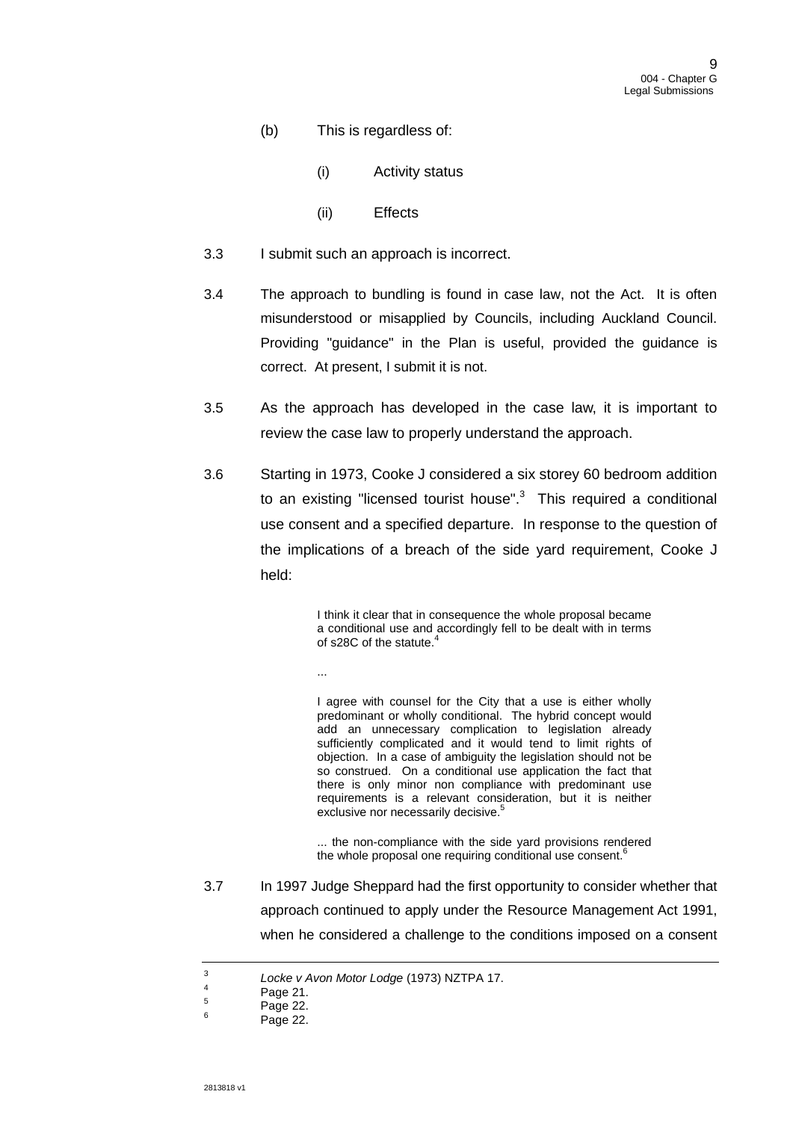- (b) This is regardless of:
	- (i) Activity status
	- (ii) Effects
- 3.3 I submit such an approach is incorrect.
- 3.4 The approach to bundling is found in case law, not the Act. It is often misunderstood or misapplied by Councils, including Auckland Council. Providing "guidance" in the Plan is useful, provided the guidance is correct. At present, I submit it is not.
- 3.5 As the approach has developed in the case law, it is important to review the case law to properly understand the approach.
- 3.6 Starting in 1973, Cooke J considered a six storey 60 bedroom addition to an existing "licensed tourist house".<sup>3</sup> This required a conditional use consent and a specified departure. In response to the question of the implications of a breach of the side yard requirement, Cooke J held:

I think it clear that in consequence the whole proposal became a conditional use and accordingly fell to be dealt with in terms of s28C of the statute.

I agree with counsel for the City that a use is either wholly predominant or wholly conditional. The hybrid concept would add an unnecessary complication to legislation already sufficiently complicated and it would tend to limit rights of objection. In a case of ambiguity the legislation should not be so construed. On a conditional use application the fact that there is only minor non compliance with predominant use requirements is a relevant consideration, but it is neither exclusive nor necessarily decisive.<sup>5</sup>

... the non-compliance with the side yard provisions rendered the whole proposal one requiring conditional use consent.<sup>6</sup>

3.7 In 1997 Judge Sheppard had the first opportunity to consider whether that approach continued to apply under the Resource Management Act 1991, when he considered a challenge to the conditions imposed on a consent

...

<sup>3</sup> *Locke v Avon Motor Lodge* (1973) NZTPA 17.

<sup>4</sup> Page 21.

<sup>5</sup> Page 22.

<sup>6</sup> Page 22.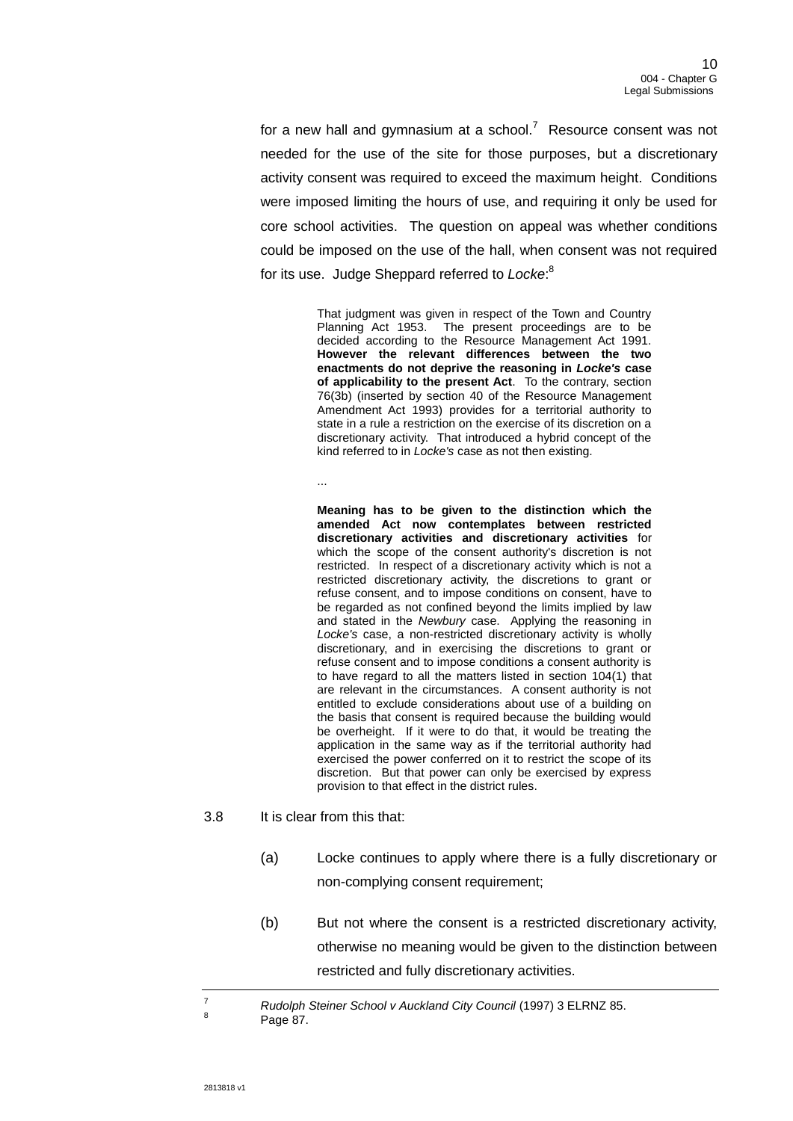for a new hall and gymnasium at a school.<sup>7</sup> Resource consent was not needed for the use of the site for those purposes, but a discretionary activity consent was required to exceed the maximum height. Conditions were imposed limiting the hours of use, and requiring it only be used for core school activities. The question on appeal was whether conditions could be imposed on the use of the hall, when consent was not required for its use. Judge Sheppard referred to *Locke*: 8

> That judgment was given in respect of the Town and Country Planning Act 1953. The present proceedings are to be decided according to the Resource Management Act 1991. **However the relevant differences between the two enactments do not deprive the reasoning in** *Locke's* **case of applicability to the present Act**. To the contrary, section 76(3b) (inserted by section 40 of the Resource Management Amendment Act 1993) provides for a territorial authority to state in a rule a restriction on the exercise of its discretion on a discretionary activity. That introduced a hybrid concept of the kind referred to in *Locke's* case as not then existing.

...

**Meaning has to be given to the distinction which the amended Act now contemplates between restricted discretionary activities and discretionary activities** for which the scope of the consent authority's discretion is not restricted. In respect of a discretionary activity which is not a restricted discretionary activity, the discretions to grant or refuse consent, and to impose conditions on consent, have to be regarded as not confined beyond the limits implied by law and stated in the *Newbury* case. Applying the reasoning in *Locke's* case, a non-restricted discretionary activity is wholly discretionary, and in exercising the discretions to grant or refuse consent and to impose conditions a consent authority is to have regard to all the matters listed in section 104(1) that are relevant in the circumstances. A consent authority is not entitled to exclude considerations about use of a building on the basis that consent is required because the building would be overheight. If it were to do that, it would be treating the application in the same way as if the territorial authority had exercised the power conferred on it to restrict the scope of its discretion. But that power can only be exercised by express provision to that effect in the district rules.

- <span id="page-9-0"></span>3.8 It is clear from this that:
	- (a) Locke continues to apply where there is a fully discretionary or non-complying consent requirement;
	- (b) But not where the consent is a restricted discretionary activity, otherwise no meaning would be given to the distinction between restricted and fully discretionary activities.

<sup>7</sup> *Rudolph Steiner School v Auckland City Council* (1997) 3 ELRNZ 85. 8

Page 87.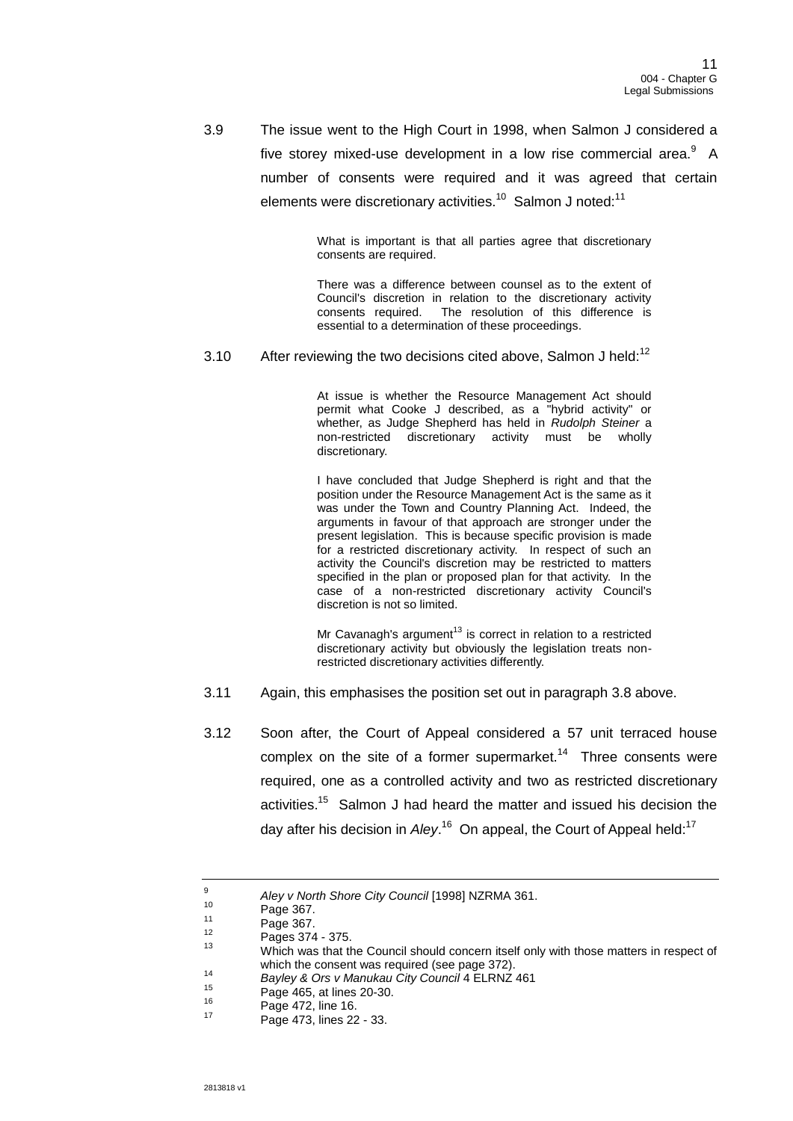3.9 The issue went to the High Court in 1998, when Salmon J considered a five storey mixed-use development in a low rise commercial area.<sup>9</sup> A number of consents were required and it was agreed that certain elements were discretionary activities.<sup>10</sup> Salmon J noted:<sup>11</sup>

> What is important is that all parties agree that discretionary consents are required.

> There was a difference between counsel as to the extent of Council's discretion in relation to the discretionary activity consents required. The resolution of this difference is essential to a determination of these proceedings.

3.10 After reviewing the two decisions cited above, Salmon J held:<sup>12</sup>

At issue is whether the Resource Management Act should permit what Cooke J described, as a "hybrid activity" or whether, as Judge Shepherd has held in *Rudolph Steiner* a non-restricted discretionary activity must be wholly discretionary.

I have concluded that Judge Shepherd is right and that the position under the Resource Management Act is the same as it was under the Town and Country Planning Act. Indeed, the arguments in favour of that approach are stronger under the present legislation. This is because specific provision is made for a restricted discretionary activity. In respect of such an activity the Council's discretion may be restricted to matters specified in the plan or proposed plan for that activity. In the case of a non-restricted discretionary activity Council's discretion is not so limited.

Mr Cavanagh's argument<sup>13</sup> is correct in relation to a restricted discretionary activity but obviously the legislation treats nonrestricted discretionary activities differently.

- 3.11 Again, this emphasises the position set out in paragraph [3.8](#page-9-0) above.
- 3.12 Soon after, the Court of Appeal considered a 57 unit terraced house complex on the site of a former supermarket.<sup>14</sup> Three consents were required, one as a controlled activity and two as restricted discretionary activities.<sup>15</sup> Salmon J had heard the matter and issued his decision the day after his decision in *Aley*.<sup>16</sup> On appeal, the Court of Appeal held:<sup>17</sup>

 $\alpha$ *Aley v North Shore City Council* [1998] NZRMA 361.

 $10^{10}$  Page 367.

 $^{11}$  Page 367.

 $^{12}$  Pages 374 - 375.

Which was that the Council should concern itself only with those matters in respect of which the consent was required (see page 372).

<sup>14</sup> *Bayley & Ors v Manukau City Council* 4 ELRNZ 461

<sup>&</sup>lt;sup>15</sup> Page 465, at lines 20-30.

 $^{16}$  Page 472, line 16.

Page 473, lines 22 - 33.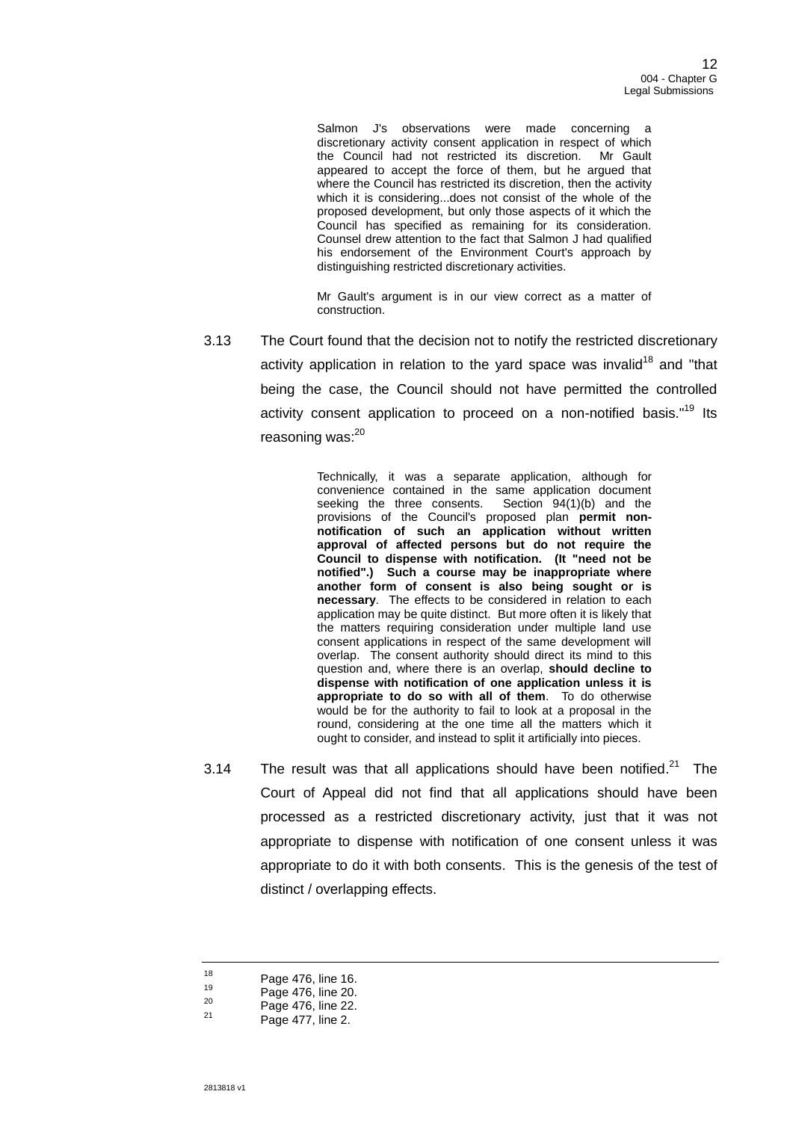Salmon J's observations were made concerning a discretionary activity consent application in respect of which<br>the Council had not restricted its discretion. Mr Gault the Council had not restricted its discretion. appeared to accept the force of them, but he argued that where the Council has restricted its discretion, then the activity which it is considering...does not consist of the whole of the proposed development, but only those aspects of it which the Council has specified as remaining for its consideration. Counsel drew attention to the fact that Salmon J had qualified his endorsement of the Environment Court's approach by distinguishing restricted discretionary activities.

Mr Gault's argument is in our view correct as a matter of construction.

3.13 The Court found that the decision not to notify the restricted discretionary activity application in relation to the yard space was invalid<sup>18</sup> and "that being the case, the Council should not have permitted the controlled activity consent application to proceed on a non-notified basis."<sup>19</sup> Its reasoning was:<sup>20</sup>

> Technically, it was a separate application, although for convenience contained in the same application document seeking the three consents. Section 94(1)(b) and the provisions of the Council's proposed plan permit non**notification of such an application without written approval of affected persons but do not require the Council to dispense with notification. (It "need not be notified".) Such a course may be inappropriate where another form of consent is also being sought or is necessary**. The effects to be considered in relation to each application may be quite distinct. But more often it is likely that the matters requiring consideration under multiple land use consent applications in respect of the same development will overlap. The consent authority should direct its mind to this question and, where there is an overlap, **should decline to dispense with notification of one application unless it is appropriate to do so with all of them**. To do otherwise would be for the authority to fail to look at a proposal in the round, considering at the one time all the matters which it ought to consider, and instead to split it artificially into pieces.

3.14 The result was that all applications should have been notified. $^{21}$  The Court of Appeal did not find that all applications should have been processed as a restricted discretionary activity, just that it was not appropriate to dispense with notification of one consent unless it was appropriate to do it with both consents. This is the genesis of the test of distinct / overlapping effects.

 $^{20}$  Page 476, line 22.

 $18$  Page 476, line 16.

 $19$  Page 476, line 20.

Page 477, line 2.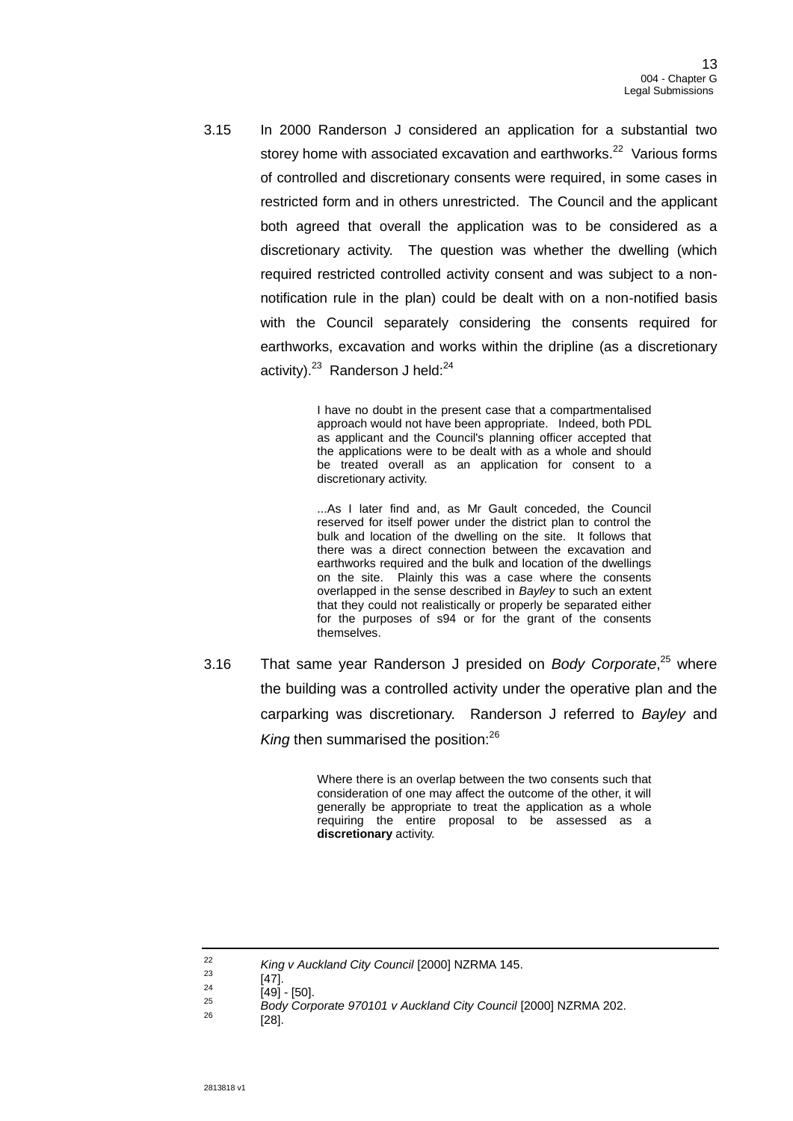3.15 In 2000 Randerson J considered an application for a substantial two storey home with associated excavation and earthworks.<sup>22</sup> Various forms of controlled and discretionary consents were required, in some cases in restricted form and in others unrestricted. The Council and the applicant both agreed that overall the application was to be considered as a discretionary activity. The question was whether the dwelling (which required restricted controlled activity consent and was subject to a nonnotification rule in the plan) could be dealt with on a non-notified basis with the Council separately considering the consents required for earthworks, excavation and works within the dripline (as a discretionary activity).<sup>23</sup> Randerson J held:<sup>24</sup>

> I have no doubt in the present case that a compartmentalised approach would not have been appropriate. Indeed, both PDL as applicant and the Council's planning officer accepted that the applications were to be dealt with as a whole and should be treated overall as an application for consent to a discretionary activity.

> ...As I later find and, as Mr Gault conceded, the Council reserved for itself power under the district plan to control the bulk and location of the dwelling on the site. It follows that there was a direct connection between the excavation and earthworks required and the bulk and location of the dwellings on the site. Plainly this was a case where the consents overlapped in the sense described in *Bayley* to such an extent that they could not realistically or properly be separated either for the purposes of s94 or for the grant of the consents themselves.

3.16 That same year Randerson J presided on *Body Corporate*, <sup>25</sup> where the building was a controlled activity under the operative plan and the carparking was discretionary. Randerson J referred to *Bayley* and King then summarised the position:<sup>26</sup>

> Where there is an overlap between the two consents such that consideration of one may affect the outcome of the other, it will generally be appropriate to treat the application as a whole requiring the entire proposal to be assessed as a **discretionary** activity.

<sup>22</sup> *King v Auckland City Council* [2000] NZRMA 145.

 $\frac{23}{24}$  [47].

 $\frac{24}{25}$  [49] - [50].

<sup>25</sup> *Body Corporate 970101 v Auckland City Council* [2000] NZRMA 202.

<sup>26</sup> [28].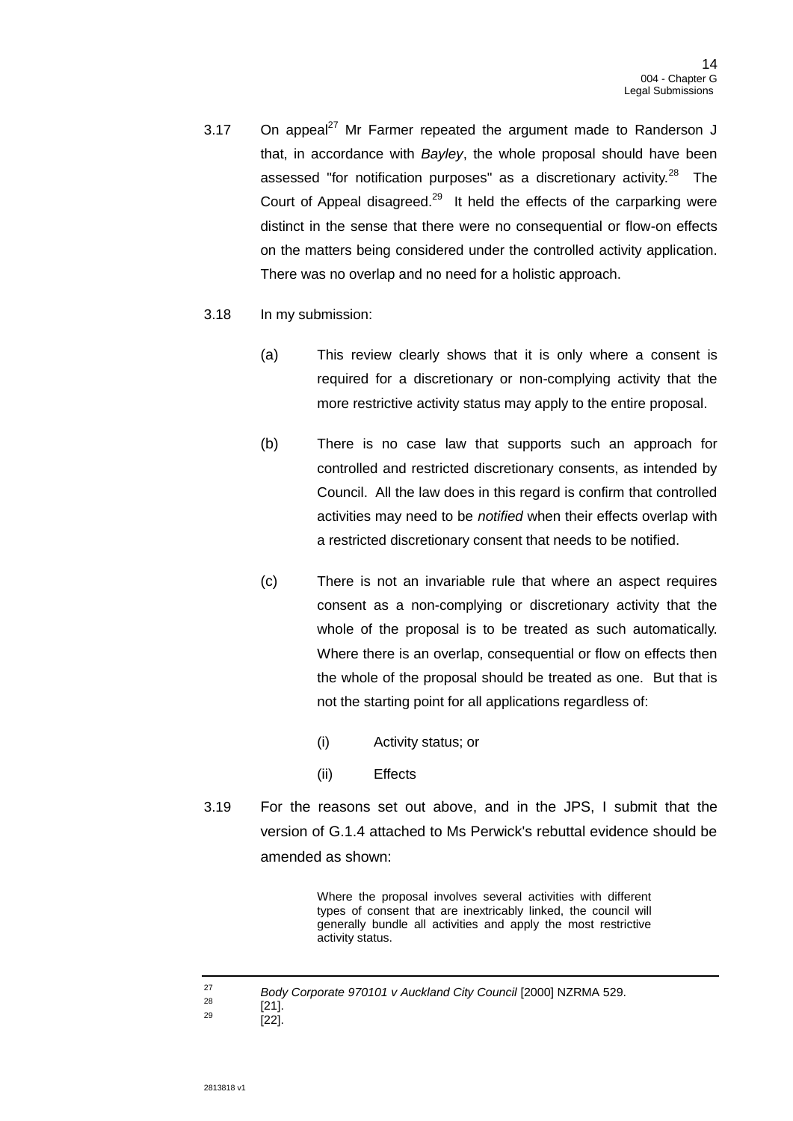- 3.17 On appeal $^{27}$  Mr Farmer repeated the argument made to Randerson J that, in accordance with *Bayley*, the whole proposal should have been assessed "for notification purposes" as a discretionary activity.<sup>28</sup> The Court of Appeal disagreed.<sup>29</sup> It held the effects of the carparking were distinct in the sense that there were no consequential or flow-on effects on the matters being considered under the controlled activity application. There was no overlap and no need for a holistic approach.
- 3.18 In my submission:
	- (a) This review clearly shows that it is only where a consent is required for a discretionary or non-complying activity that the more restrictive activity status may apply to the entire proposal.
	- (b) There is no case law that supports such an approach for controlled and restricted discretionary consents, as intended by Council. All the law does in this regard is confirm that controlled activities may need to be *notified* when their effects overlap with a restricted discretionary consent that needs to be notified.
	- (c) There is not an invariable rule that where an aspect requires consent as a non-complying or discretionary activity that the whole of the proposal is to be treated as such automatically. Where there is an overlap, consequential or flow on effects then the whole of the proposal should be treated as one. But that is not the starting point for all applications regardless of:
		- (i) Activity status; or
		- (ii) Effects
- 3.19 For the reasons set out above, and in the JPS, I submit that the version of G.1.4 attached to Ms Perwick's rebuttal evidence should be amended as shown:

Where the proposal involves several activities with different types of consent that are inextricably linked, the council will generally bundle all activities and apply the most restrictive activity status.

<sup>27</sup> *Body Corporate 970101 v Auckland City Council* [2000] NZRMA 529.

 $\frac{28}{29}$  [21].  $[22]$ .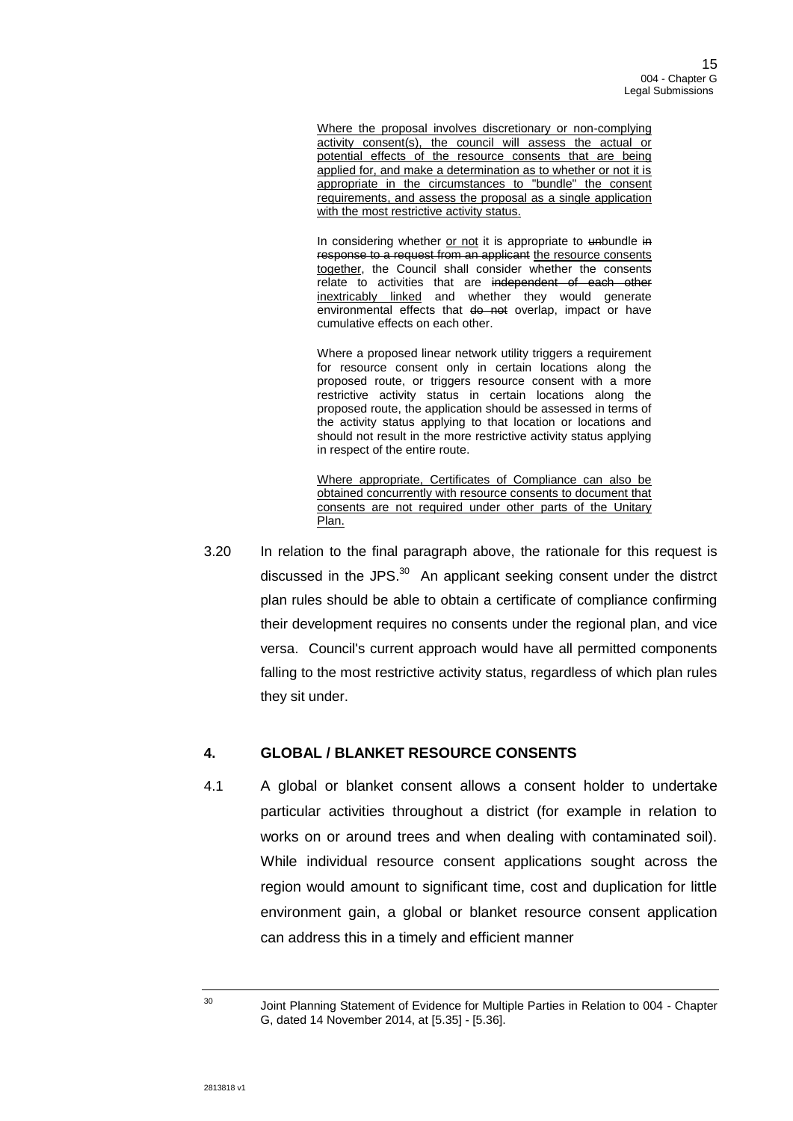Where the proposal involves discretionary or non-complying activity consent(s), the council will assess the actual or potential effects of the resource consents that are being applied for, and make a determination as to whether or not it is appropriate in the circumstances to "bundle" the consent requirements, and assess the proposal as a single application with the most restrictive activity status.

In considering whether or not it is appropriate to unbundle in response to a request from an applicant the resource consents together, the Council shall consider whether the consents relate to activities that are independent of each other inextricably linked and whether they would generate environmental effects that do not overlap, impact or have cumulative effects on each other.

Where a proposed linear network utility triggers a requirement for resource consent only in certain locations along the proposed route, or triggers resource consent with a more restrictive activity status in certain locations along the proposed route, the application should be assessed in terms of the activity status applying to that location or locations and should not result in the more restrictive activity status applying in respect of the entire route.

Where appropriate, Certificates of Compliance can also be obtained concurrently with resource consents to document that consents are not required under other parts of the Unitary Plan.

3.20 In relation to the final paragraph above, the rationale for this request is discussed in the JPS. $30$  An applicant seeking consent under the distrct plan rules should be able to obtain a certificate of compliance confirming their development requires no consents under the regional plan, and vice versa. Council's current approach would have all permitted components falling to the most restrictive activity status, regardless of which plan rules they sit under.

# **4. GLOBAL / BLANKET RESOURCE CONSENTS**

4.1 A global or blanket consent allows a consent holder to undertake particular activities throughout a district (for example in relation to works on or around trees and when dealing with contaminated soil). While individual resource consent applications sought across the region would amount to significant time, cost and duplication for little environment gain, a global or blanket resource consent application can address this in a timely and efficient manner

<sup>&</sup>lt;sup>30</sup> Joint Planning Statement of Evidence for Multiple Parties in Relation to 004 - Chapter G, dated 14 November 2014, at [5.35] - [5.36].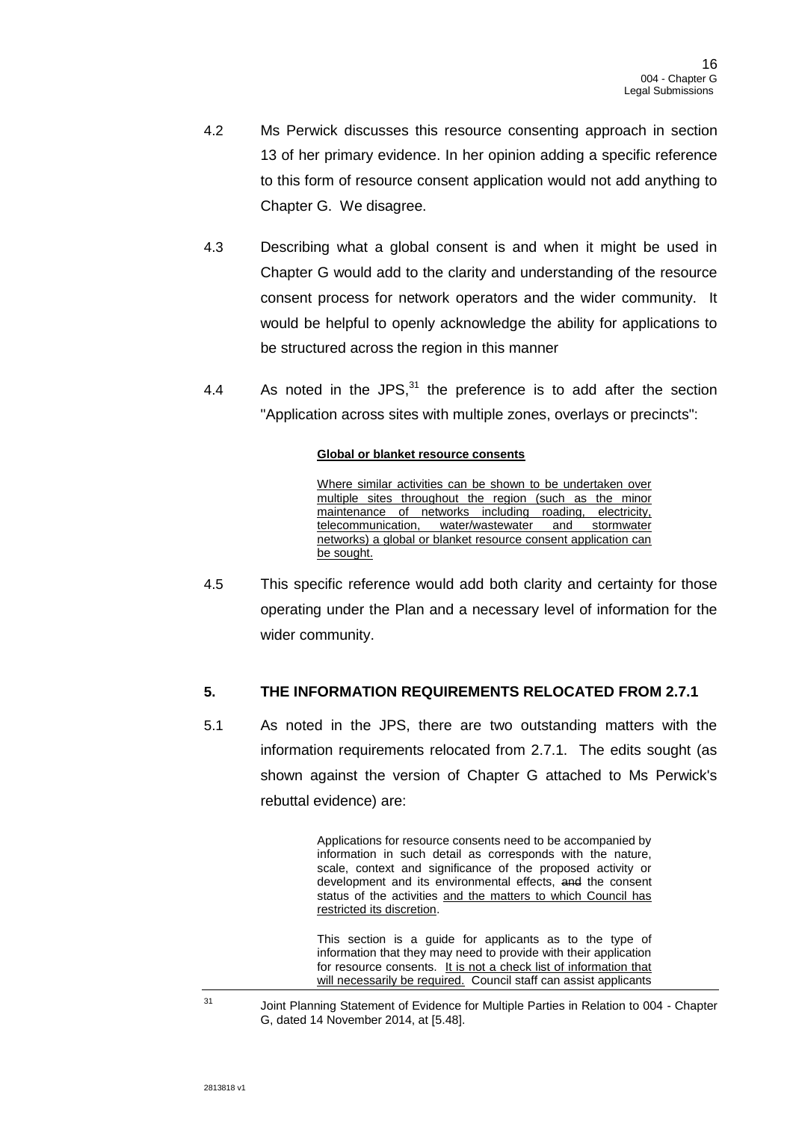- 4.2 Ms Perwick discusses this resource consenting approach in section 13 of her primary evidence. In her opinion adding a specific reference to this form of resource consent application would not add anything to Chapter G. We disagree.
- 4.3 Describing what a global consent is and when it might be used in Chapter G would add to the clarity and understanding of the resource consent process for network operators and the wider community. It would be helpful to openly acknowledge the ability for applications to be structured across the region in this manner
- 4.4 As noted in the JPS, $^{31}$  the preference is to add after the section "Application across sites with multiple zones, overlays or precincts":

### **Global or blanket resource consents**

Where similar activities can be shown to be undertaken over multiple sites throughout the region (such as the minor maintenance of networks including roading, electricity, telecommunication, water/wastewater and stormwater networks) a global or blanket resource consent application can be sought.

4.5 This specific reference would add both clarity and certainty for those operating under the Plan and a necessary level of information for the wider community.

# **5. THE INFORMATION REQUIREMENTS RELOCATED FROM 2.7.1**

5.1 As noted in the JPS, there are two outstanding matters with the information requirements relocated from 2.7.1. The edits sought (as shown against the version of Chapter G attached to Ms Perwick's rebuttal evidence) are:

> Applications for resource consents need to be accompanied by information in such detail as corresponds with the nature, scale, context and significance of the proposed activity or development and its environmental effects, and the consent status of the activities and the matters to which Council has restricted its discretion.

> This section is a guide for applicants as to the type of information that they may need to provide with their application for resource consents. It is not a check list of information that will necessarily be required. Council staff can assist applicants

<sup>&</sup>lt;sup>31</sup> Joint Planning Statement of Evidence for Multiple Parties in Relation to 004 - Chapter G, dated 14 November 2014, at [5.48].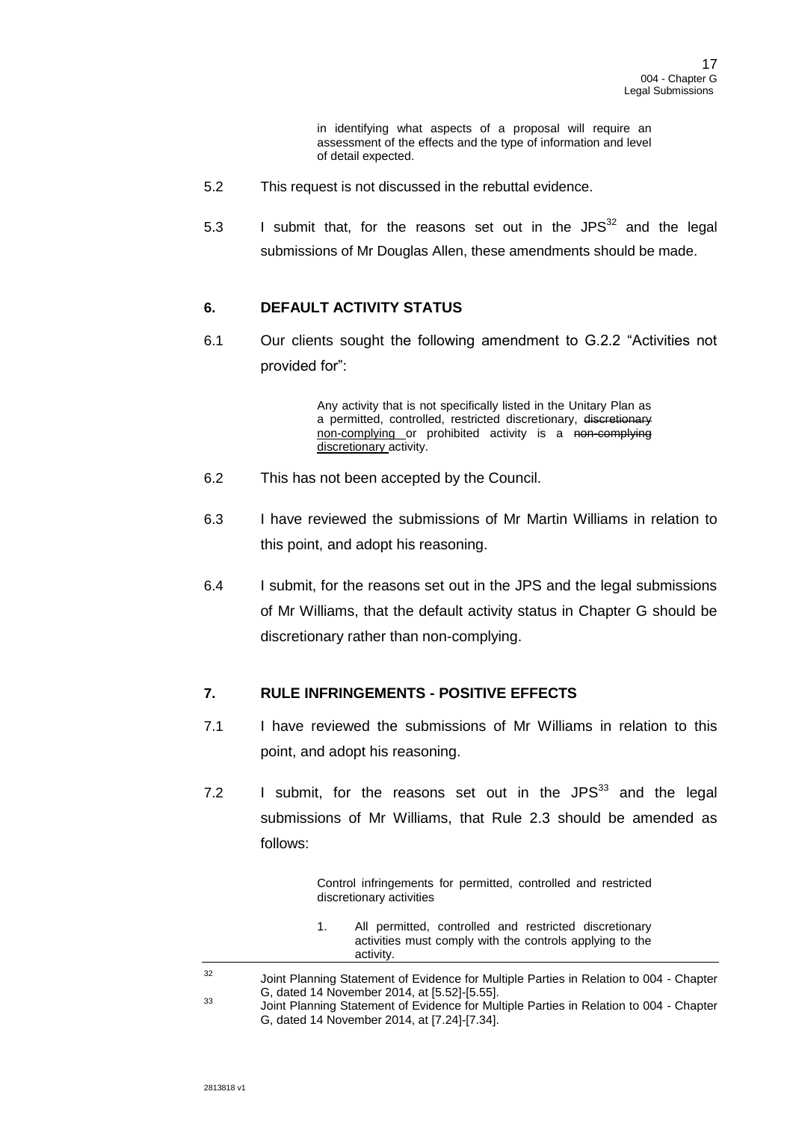in identifying what aspects of a proposal will require an assessment of the effects and the type of information and level of detail expected.

- 5.2 This request is not discussed in the rebuttal evidence.
- 5.3 I submit that, for the reasons set out in the  $JPS^{32}$  and the legal submissions of Mr Douglas Allen, these amendments should be made.

# **6. DEFAULT ACTIVITY STATUS**

6.1 Our clients sought the following amendment to G.2.2 "Activities not provided for":

> Any activity that is not specifically listed in the Unitary Plan as a permitted, controlled, restricted discretionary, discretionary non-complying or prohibited activity is a non-complying discretionary activity.

- 6.2 This has not been accepted by the Council.
- 6.3 I have reviewed the submissions of Mr Martin Williams in relation to this point, and adopt his reasoning.
- 6.4 I submit, for the reasons set out in the JPS and the legal submissions of Mr Williams, that the default activity status in Chapter G should be discretionary rather than non-complying.

# **7. RULE INFRINGEMENTS - POSITIVE EFFECTS**

- 7.1 I have reviewed the submissions of Mr Williams in relation to this point, and adopt his reasoning.
- 7.2 I submit, for the reasons set out in the JPS $^{33}$  and the legal submissions of Mr Williams, that Rule 2.3 should be amended as follows:

Control infringements for permitted, controlled and restricted discretionary activities

| All permitted, controlled and restricted discretionary   |
|----------------------------------------------------------|
| activities must comply with the controls applying to the |
| activity.                                                |

<sup>32</sup> Joint Planning Statement of Evidence for Multiple Parties in Relation to 004 - Chapter G, dated 14 November 2014, at [5.52]-[5.55].

<sup>&</sup>lt;sup>33</sup> Joint Planning Statement of Evidence for Multiple Parties in Relation to 004 - Chapter G, dated 14 November 2014, at [7.24]-[7.34].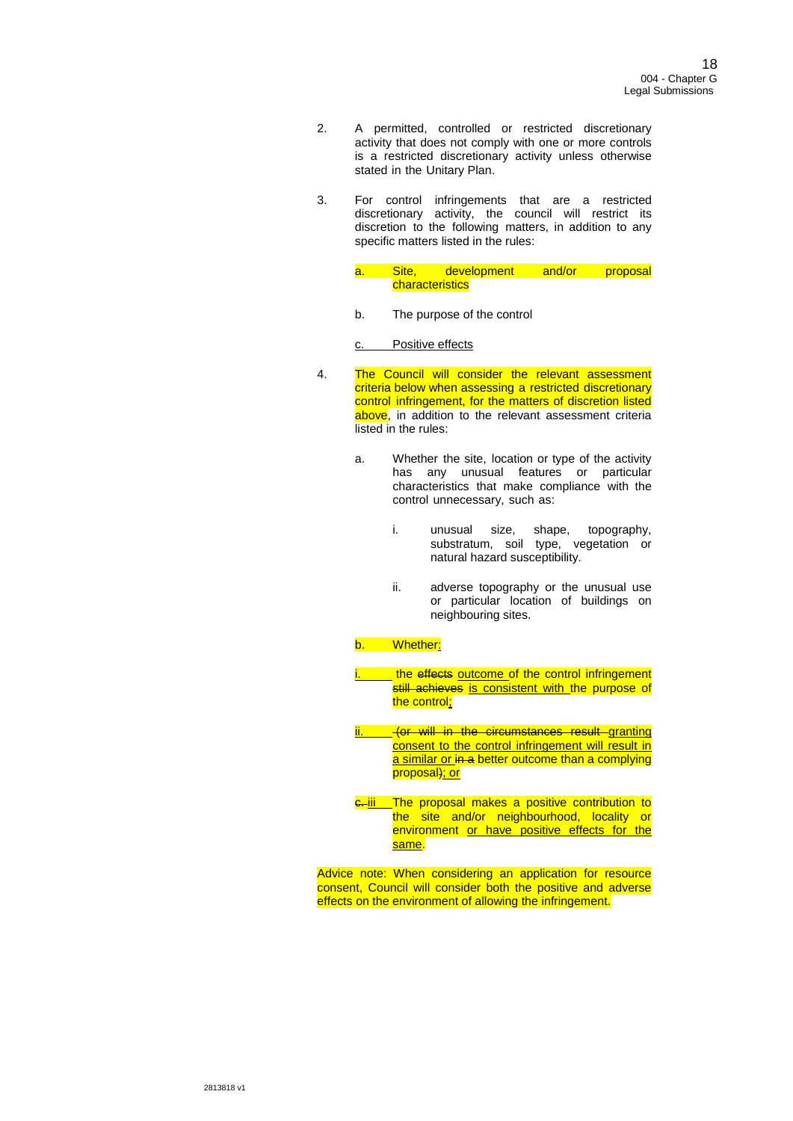- 2. A permitted, controlled or restricted discretionary activity that does not comply with one or more controls is a restricted discretionary activity unless otherwise stated in the Unitary Plan.
- 3. For control infringements that are a restricted discretionary activity, the council will restrict its discretion to the following matters, in addition to any specific matters listed in the rules:
	- a. Site, development and/or proposal **characteristics**
	- b. The purpose of the control

c. Positive effects

- 4. The Council will consider the relevant assessment criteria below when assessing a restricted discretionary control infringement, for the matters of discretion listed above, in addition to the relevant assessment criteria listed in the rules:
	- a. Whether the site, location or type of the activity has any unusual features or particular characteristics that make compliance with the control unnecessary, such as:
		- i. unusual size, shape, topography, substratum, soil type, vegetation or natural hazard susceptibility.
		- ii. adverse topography or the unusual use or particular location of buildings on neighbouring sites.

### Whether:

- **i. the effects outcome of the control infringement** still achieves is consistent with the purpose of the control;
- <u>- (or will in the circumstances result granting</u> consent to the control infringement will result in a similar or in a better outcome than a complying proposal); or
- **e**. iii The proposal makes a positive contribution to the site and/or neighbourhood, locality or environment or have positive effects for the same.

Advice note: When considering an application for resource consent, Council will consider both the positive and adverse effects on the environment of allowing the infringement.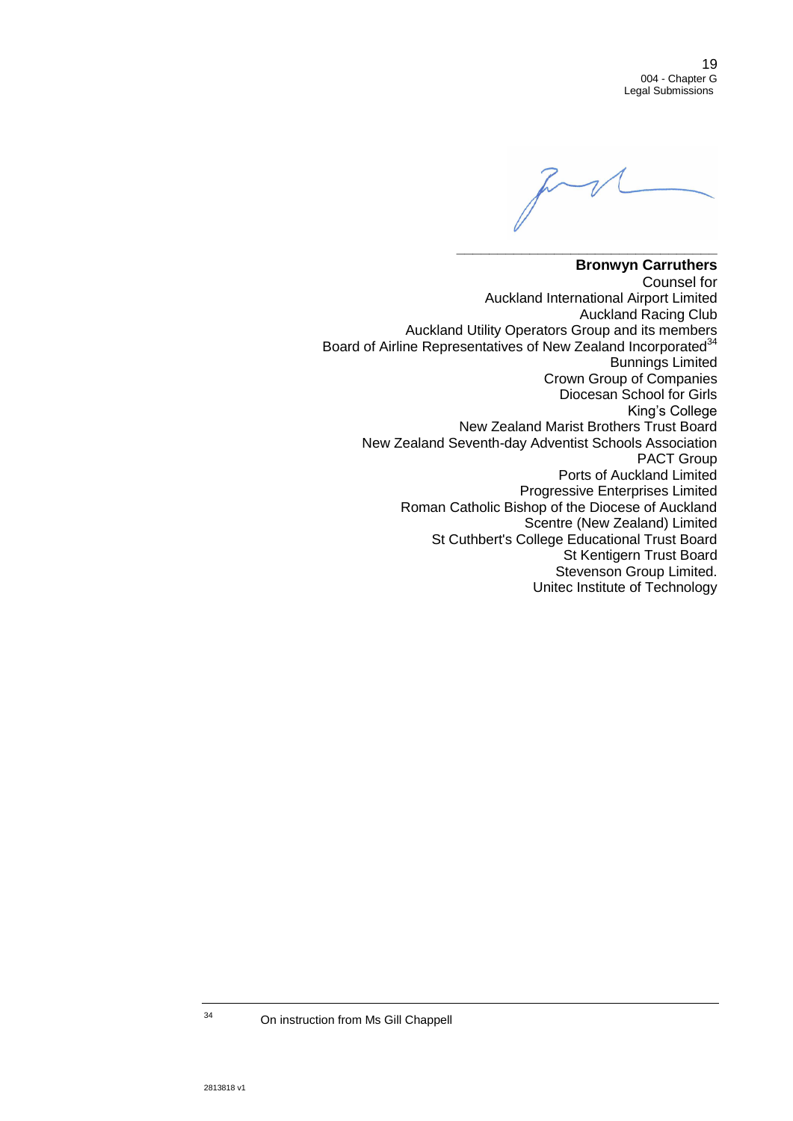19 004 - Chapter G Legal Submissions

**\_\_\_\_\_\_\_\_\_\_\_\_\_\_\_\_\_\_\_\_\_\_\_\_\_\_\_\_\_\_\_\_**

## **Bronwyn Carruthers** Counsel for Auckland International Airport Limited Auckland Racing Club Auckland Utility Operators Group and its members Board of Airline Representatives of New Zealand Incorporated<sup>34</sup> Bunnings Limited Crown Group of Companies Diocesan School for Girls King's College New Zealand Marist Brothers Trust Board New Zealand Seventh-day Adventist Schools Association PACT Group Ports of Auckland Limited Progressive Enterprises Limited Roman Catholic Bishop of the Diocese of Auckland Scentre (New Zealand) Limited St Cuthbert's College Educational Trust Board St Kentigern Trust Board Stevenson Group Limited. Unitec Institute of Technology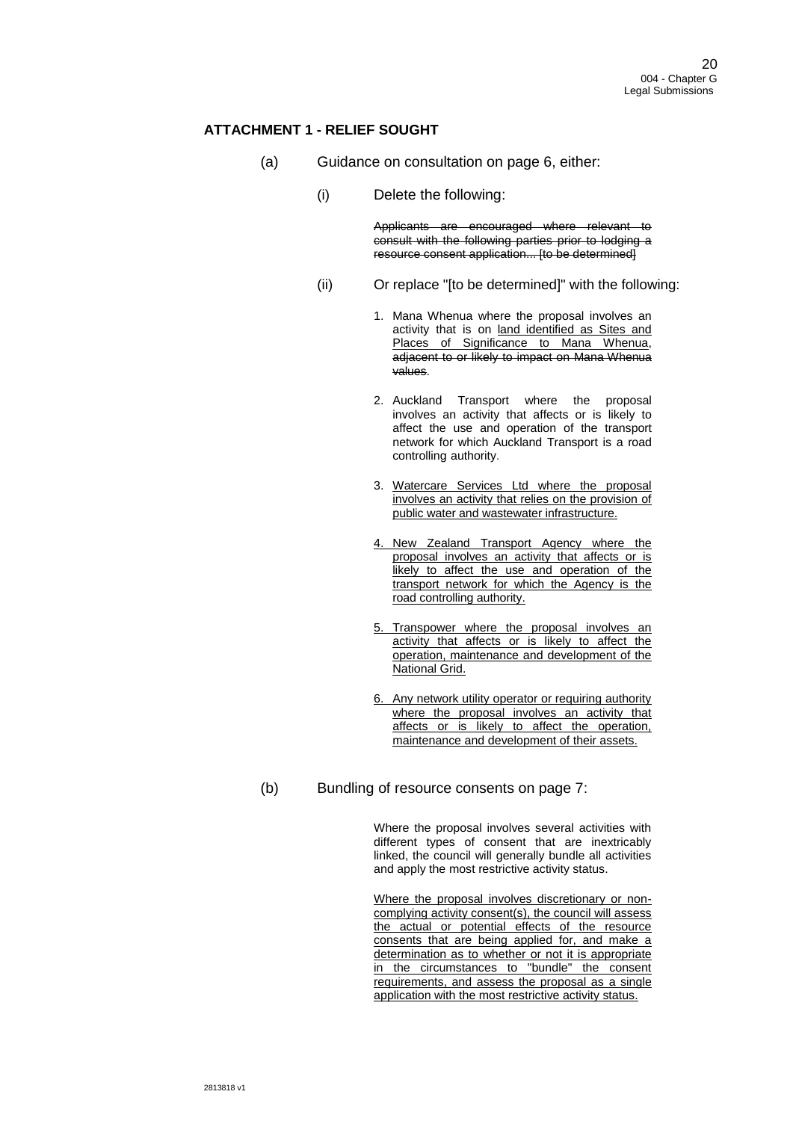## **ATTACHMENT 1 - RELIEF SOUGHT**

- (a) Guidance on consultation on page 6, either:
	- (i) Delete the following:

Applicants are encouraged where relevant to consult with the following parties prior to lodging a resource consent application... [to be determined]

- (ii) Or replace "[to be determined]" with the following:
	- 1. Mana Whenua where the proposal involves an activity that is on land identified as Sites and Places of Significance to Mana Whenua, adjacent to or likely to impact on Mana Whenua values.
	- 2. Auckland Transport where the proposal involves an activity that affects or is likely to affect the use and operation of the transport network for which Auckland Transport is a road controlling authority.
	- 3. Watercare Services Ltd where the proposal involves an activity that relies on the provision of public water and wastewater infrastructure.
	- 4. New Zealand Transport Agency where the proposal involves an activity that affects or is likely to affect the use and operation of the transport network for which the Agency is the road controlling authority.
	- 5. Transpower where the proposal involves an activity that affects or is likely to affect the operation, maintenance and development of the National Grid.
	- 6. Any network utility operator or requiring authority where the proposal involves an activity that affects or is likely to affect the operation, maintenance and development of their assets.
- (b) Bundling of resource consents on page 7:

Where the proposal involves several activities with different types of consent that are inextricably linked, the council will generally bundle all activities and apply the most restrictive activity status.

Where the proposal involves discretionary or noncomplying activity consent(s), the council will assess the actual or potential effects of the resource consents that are being applied for, and make a determination as to whether or not it is appropriate in the circumstances to "bundle" the consent requirements, and assess the proposal as a single application with the most restrictive activity status.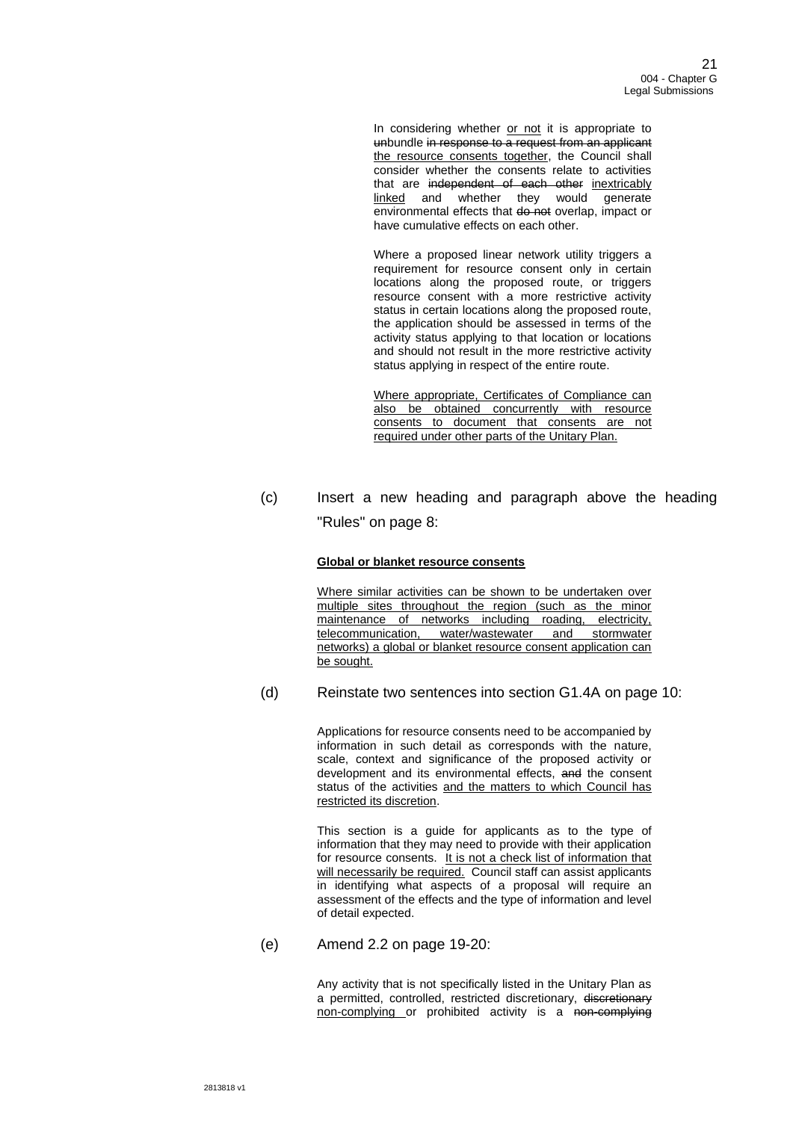In considering whether or not it is appropriate to unbundle in response to a request from an applicant the resource consents together, the Council shall consider whether the consents relate to activities that are independent of each other inextricably linked and whether they would generate environmental effects that do not overlap, impact or have cumulative effects on each other.

Where a proposed linear network utility triggers a requirement for resource consent only in certain locations along the proposed route, or triggers resource consent with a more restrictive activity status in certain locations along the proposed route, the application should be assessed in terms of the activity status applying to that location or locations and should not result in the more restrictive activity status applying in respect of the entire route.

Where appropriate, Certificates of Compliance can also be obtained concurrently with resource consents to document that consents are not required under other parts of the Unitary Plan.

(c) Insert a new heading and paragraph above the heading "Rules" on page 8:

### **Global or blanket resource consents**

Where similar activities can be shown to be undertaken over multiple sites throughout the region (such as the minor maintenance of networks including roading, electricity, telecommunication, water/wastewater and stormwater networks) a global or blanket resource consent application can be sought.

(d) Reinstate two sentences into section G1.4A on page 10:

Applications for resource consents need to be accompanied by information in such detail as corresponds with the nature, scale, context and significance of the proposed activity or development and its environmental effects, and the consent status of the activities and the matters to which Council has restricted its discretion.

This section is a guide for applicants as to the type of information that they may need to provide with their application for resource consents. It is not a check list of information that will necessarily be required. Council staff can assist applicants in identifying what aspects of a proposal will require an assessment of the effects and the type of information and level of detail expected.

(e) Amend 2.2 on page 19-20:

Any activity that is not specifically listed in the Unitary Plan as a permitted, controlled, restricted discretionary, discretionary non-complying or prohibited activity is a non-complying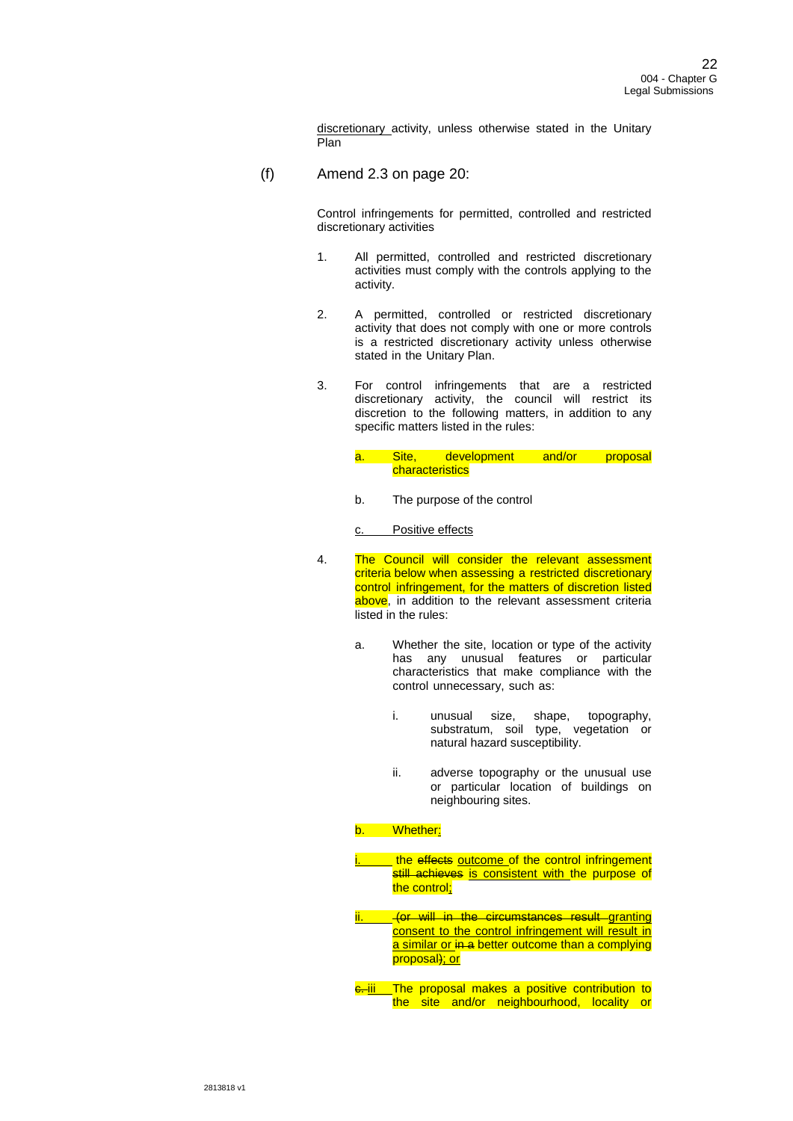discretionary activity, unless otherwise stated in the Unitary Plan

(f) Amend 2.3 on page 20:

Control infringements for permitted, controlled and restricted discretionary activities

- 1. All permitted, controlled and restricted discretionary activities must comply with the controls applying to the activity.
- 2. A permitted, controlled or restricted discretionary activity that does not comply with one or more controls is a restricted discretionary activity unless otherwise stated in the Unitary Plan.
- 3. For control infringements that are a restricted discretionary activity, the council will restrict its discretion to the following matters, in addition to any specific matters listed in the rules:
	- a. Site, development and/or proposal **characteristics**
	- b. The purpose of the control

c. Positive effects

- 4. The Council will consider the relevant assessment criteria below when assessing a restricted discretionary control infringement, for the matters of discretion listed above, in addition to the relevant assessment criteria listed in the rules:
	- a. Whether the site, location or type of the activity has any unusual features or particular characteristics that make compliance with the control unnecessary, such as:
		- i. unusual size, shape, topography, substratum, soil type, vegetation or natural hazard susceptibility.
		- ii. adverse topography or the unusual use or particular location of buildings on neighbouring sites.

### b. Whether:

- the effects outcome of the control infringement still achieves is consistent with the purpose of the control;
- ifer will in the circumstances result granting consent to the control infringement will result in a similar or in a better outcome than a complying proposal); or
- **e**. iii The proposal makes a positive contribution to the site and/or neighbourhood, locality or